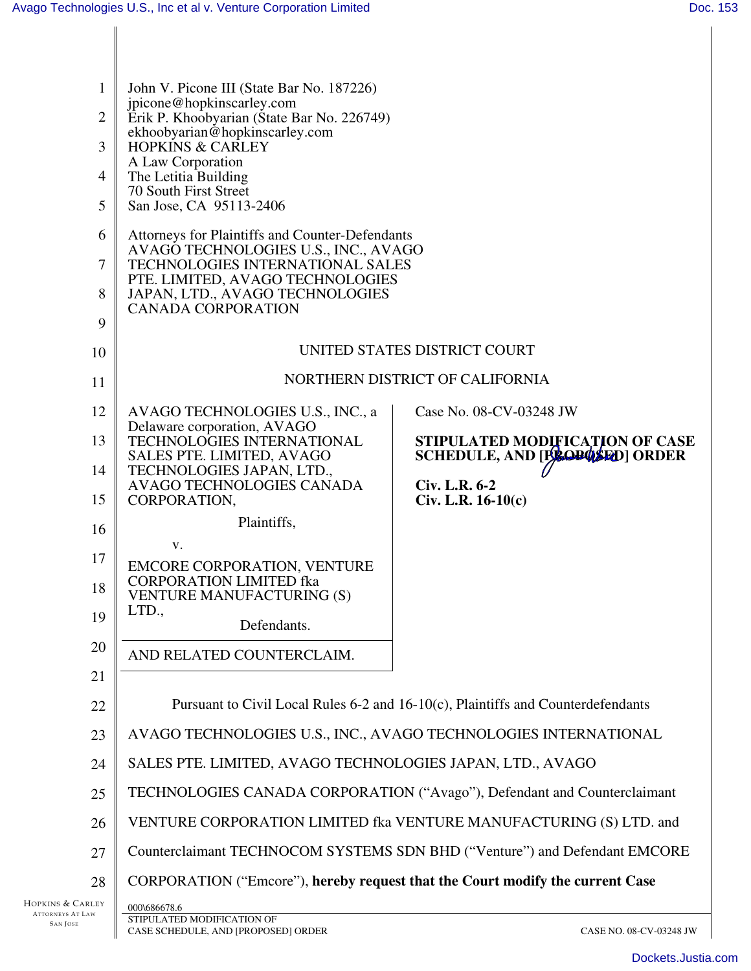| $\mathbf{1}$     | John V. Picone III (State Bar No. 187226)                                                         |                                       |  |  |
|------------------|---------------------------------------------------------------------------------------------------|---------------------------------------|--|--|
| $\overline{2}$   | jpicone@hopkinscarley.com<br>Erik P. Khoobyarian (State Bar No. 226749)                           |                                       |  |  |
| 3                | ekhoobyarian@hopkinscarley.com<br><b>HOPKINS &amp; CARLEY</b>                                     |                                       |  |  |
| 4                | A Law Corporation<br>The Letitia Building                                                         |                                       |  |  |
| 5                | 70 South First Street                                                                             |                                       |  |  |
|                  | San Jose, CA 95113-2406                                                                           |                                       |  |  |
| 6                | Attorneys for Plaintiffs and Counter-Defendants<br>AVAGO TECHNOLOGIES U.S., INC., AVAGO           |                                       |  |  |
| 7                | TECHNOLOGIES INTERNATIONAL SALES<br>PTE. LIMITED, AVAGO TECHNOLOGIES                              |                                       |  |  |
| 8                | JAPAN, LTD., AVAGO TECHNOLOGIES<br><b>CANADA CORPORATION</b>                                      |                                       |  |  |
| 9                |                                                                                                   |                                       |  |  |
| 10               | UNITED STATES DISTRICT COURT                                                                      |                                       |  |  |
| 11               | NORTHERN DISTRICT OF CALIFORNIA                                                                   |                                       |  |  |
| 12               | AVAGO TECHNOLOGIES U.S., INC., a                                                                  | Case No. 08-CV-03248 JW               |  |  |
| 13               | Delaware corporation, AVAGO<br>TECHNOLOGIES INTERNATIONAL                                         | STIPULATED MODIFICATION OF CASE       |  |  |
| 14               | SALES PTE. LIMITED, AVAGO<br>TECHNOLOGIES JAPAN, LTD.,                                            | <b>SCHEDULE, AND [BROPOSED] ORDER</b> |  |  |
| 15               | AVAGO TECHNOLOGIES CANADA<br>CORPORATION,                                                         | Civ. L.R. 6-2<br>$Civ. L.R. 16-10(c)$ |  |  |
| 16               | Plaintiffs,                                                                                       |                                       |  |  |
| 17               | V.                                                                                                |                                       |  |  |
| 18               | EMCORE CORPORATION, VENTURE<br><b>CORPORATION LIMITED fka</b><br><b>VENTURE MANUFACTURING (S)</b> |                                       |  |  |
| 19               | LTD.,<br>Defendants.                                                                              |                                       |  |  |
| 20               | AND RELATED COUNTERCLAIM.                                                                         |                                       |  |  |
| 21               |                                                                                                   |                                       |  |  |
| 22               | Pursuant to Civil Local Rules 6-2 and 16-10(c), Plaintiffs and Counterdefendants                  |                                       |  |  |
| 23               | AVAGO TECHNOLOGIES U.S., INC., AVAGO TECHNOLOGIES INTERNATIONAL                                   |                                       |  |  |
| 24               | SALES PTE. LIMITED, AVAGO TECHNOLOGIES JAPAN, LTD., AVAGO                                         |                                       |  |  |
| 25               | TECHNOLOGIES CANADA CORPORATION ("Avago"), Defendant and Counterclaimant                          |                                       |  |  |
| 26               | VENTURE CORPORATION LIMITED fka VENTURE MANUFACTURING (S) LTD. and                                |                                       |  |  |
| 27               | Counterclaimant TECHNOCOM SYSTEMS SDN BHD ("Venture") and Defendant EMCORE                        |                                       |  |  |
| 28               | CORPORATION ("Emcore"), hereby request that the Court modify the current Case                     |                                       |  |  |
| Hopkins & Carley | 000\686678.6                                                                                      |                                       |  |  |

SAN JOSE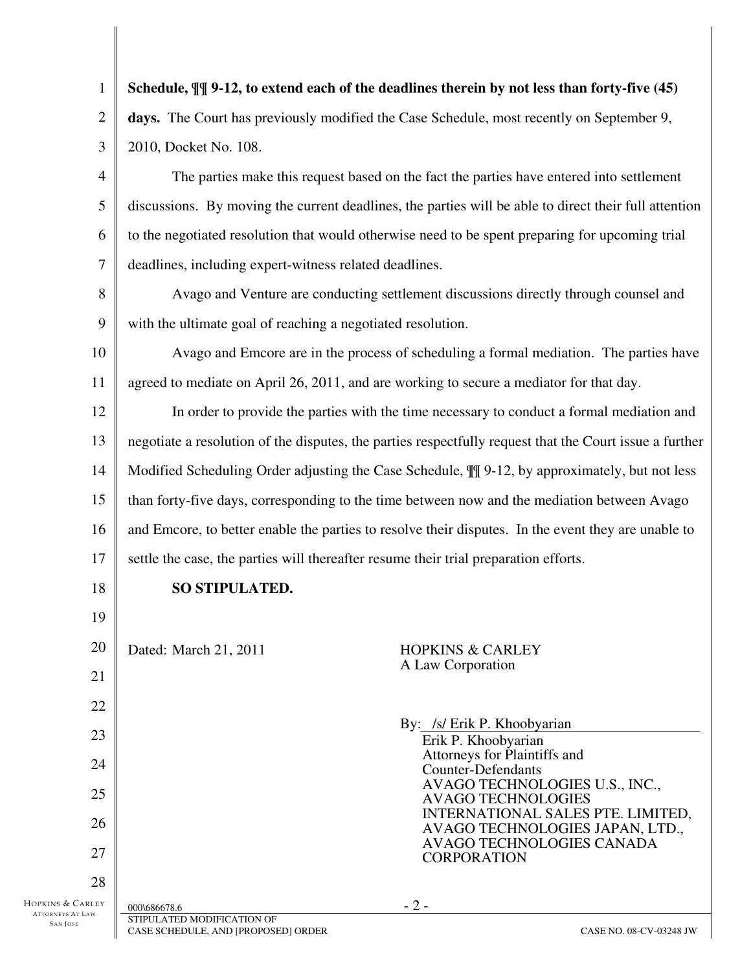| $\mathbf{1}$                                | Schedule, $\P\P$ 9-12, to extend each of the deadlines therein by not less than forty-five (45)           |  |  |
|---------------------------------------------|-----------------------------------------------------------------------------------------------------------|--|--|
| 2                                           | days. The Court has previously modified the Case Schedule, most recently on September 9,                  |  |  |
| 3                                           | 2010, Docket No. 108.                                                                                     |  |  |
| 4                                           | The parties make this request based on the fact the parties have entered into settlement                  |  |  |
| 5                                           | discussions. By moving the current deadlines, the parties will be able to direct their full attention     |  |  |
| 6                                           | to the negotiated resolution that would otherwise need to be spent preparing for upcoming trial           |  |  |
| 7                                           | deadlines, including expert-witness related deadlines.                                                    |  |  |
| 8                                           | Avago and Venture are conducting settlement discussions directly through counsel and                      |  |  |
| 9                                           | with the ultimate goal of reaching a negotiated resolution.                                               |  |  |
| 10                                          | Avago and Emcore are in the process of scheduling a formal mediation. The parties have                    |  |  |
| 11                                          | agreed to mediate on April 26, 2011, and are working to secure a mediator for that day.                   |  |  |
| 12                                          | In order to provide the parties with the time necessary to conduct a formal mediation and                 |  |  |
| 13                                          | negotiate a resolution of the disputes, the parties respectfully request that the Court issue a further   |  |  |
| 14                                          | Modified Scheduling Order adjusting the Case Schedule, $\mathbb{II}$ 9-12, by approximately, but not less |  |  |
| 15                                          | than forty-five days, corresponding to the time between now and the mediation between Avago               |  |  |
| 16                                          | and Emcore, to better enable the parties to resolve their disputes. In the event they are unable to       |  |  |
| 17                                          | settle the case, the parties will thereafter resume their trial preparation efforts.                      |  |  |
| 18                                          | SO STIPULATED.                                                                                            |  |  |
| 19                                          |                                                                                                           |  |  |
| 20                                          | Dated: March 21, 2011<br><b>HOPKINS &amp; CARLEY</b>                                                      |  |  |
| 21                                          | A Law Corporation                                                                                         |  |  |
| 22                                          |                                                                                                           |  |  |
| 23                                          | By: /s/ Erik P. Khoobyarian<br>Erik P. Khoobyarian                                                        |  |  |
| 24                                          | Attorneys for Plaintiffs and<br><b>Counter-Defendants</b>                                                 |  |  |
| 25                                          | AVAGO TECHNOLOGIES U.S., INC.,<br><b>AVAGO TECHNOLOGIES</b>                                               |  |  |
| 26                                          | INTERNATIONAL SALES PTE. LIMITED,<br>AVAGO TECHNOLOGIES JAPAN, LTD.,                                      |  |  |
| 27                                          | AVAGO TECHNOLOGIES CANADA<br><b>CORPORATION</b>                                                           |  |  |
| 28                                          |                                                                                                           |  |  |
| HOPKINS & CARLEY<br><b>ATTORNEYS AT LAW</b> | $-2-$<br>000\686678.6<br>STIPULATED MODIFICATION OF                                                       |  |  |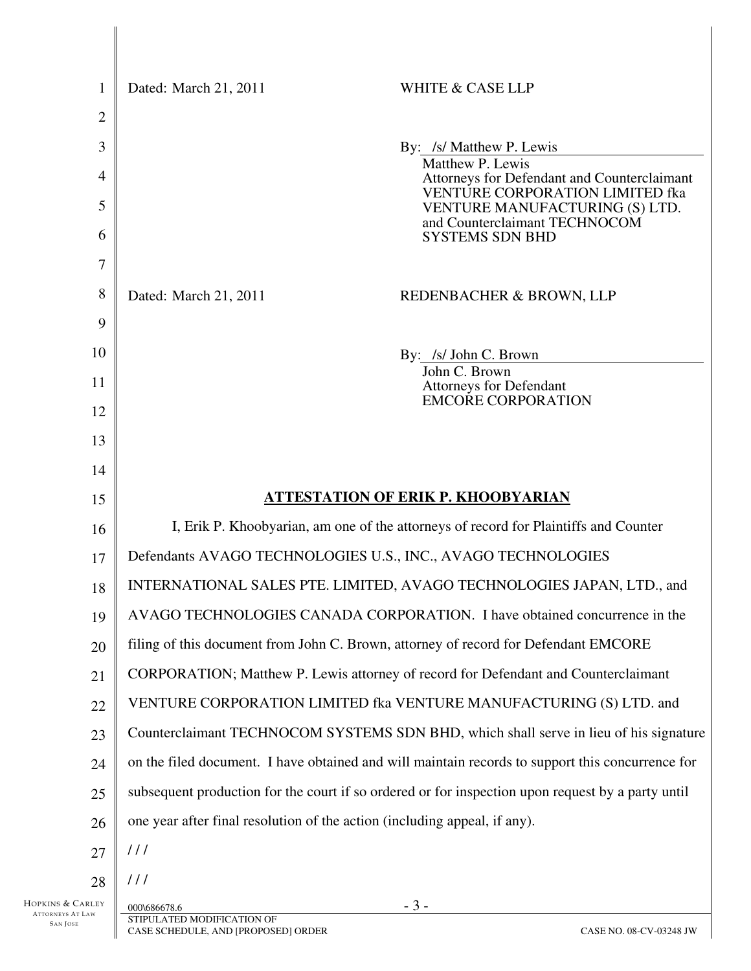| 1                | Dated: March 21, 2011<br><b>WHITE &amp; CASE LLP</b>                                              |                                                                          |  |
|------------------|---------------------------------------------------------------------------------------------------|--------------------------------------------------------------------------|--|
| $\overline{c}$   |                                                                                                   |                                                                          |  |
| 3                | By: /s/ Matthew P. Lewis                                                                          |                                                                          |  |
| 4                | Matthew P. Lewis                                                                                  | Attorneys for Defendant and Counterclaimant                              |  |
| 5                |                                                                                                   | <b>VENTURE CORPORATION LIMITED fka</b><br>VENTURE MANUFACTURING (S) LTD. |  |
| 6                | <b>SYSTEMS SDN BHD</b>                                                                            | and Counterclaimant TECHNOCOM                                            |  |
| 7                |                                                                                                   |                                                                          |  |
| 8                | Dated: March 21, 2011<br>REDENBACHER & BROWN, LLP                                                 |                                                                          |  |
| 9                |                                                                                                   |                                                                          |  |
| 10               | By: /s/ John C. Brown                                                                             |                                                                          |  |
| 11               | John C. Brown<br><b>Attorneys for Defendant</b>                                                   |                                                                          |  |
| 12               | <b>EMCORE CORPORATION</b>                                                                         |                                                                          |  |
| 13               |                                                                                                   |                                                                          |  |
| 14               |                                                                                                   |                                                                          |  |
| 15               | <b>ATTESTATION OF ERIK P. KHOOBYARIAN</b>                                                         |                                                                          |  |
| 16               | I, Erik P. Khoobyarian, am one of the attorneys of record for Plaintiffs and Counter              |                                                                          |  |
| 17               | Defendants AVAGO TECHNOLOGIES U.S., INC., AVAGO TECHNOLOGIES                                      |                                                                          |  |
| 18               | INTERNATIONAL SALES PTE. LIMITED, AVAGO TECHNOLOGIES JAPAN, LTD., and                             |                                                                          |  |
| 19               | AVAGO TECHNOLOGIES CANADA CORPORATION. I have obtained concurrence in the                         |                                                                          |  |
| 20               | filing of this document from John C. Brown, attorney of record for Defendant EMCORE               |                                                                          |  |
| 21               | CORPORATION; Matthew P. Lewis attorney of record for Defendant and Counterclaimant                |                                                                          |  |
| 22               | VENTURE CORPORATION LIMITED fka VENTURE MANUFACTURING (S) LTD. and                                |                                                                          |  |
| 23               | Counterclaimant TECHNOCOM SYSTEMS SDN BHD, which shall serve in lieu of his signature             |                                                                          |  |
| 24               | on the filed document. I have obtained and will maintain records to support this concurrence for  |                                                                          |  |
| 25               | subsequent production for the court if so ordered or for inspection upon request by a party until |                                                                          |  |
| 26               | one year after final resolution of the action (including appeal, if any).                         |                                                                          |  |
| 27               | 111                                                                                               |                                                                          |  |
| 28               | 111                                                                                               |                                                                          |  |
| HOPKINS & CARLEY | $-3-$<br>000\686678.6                                                                             |                                                                          |  |

SAN JOSE